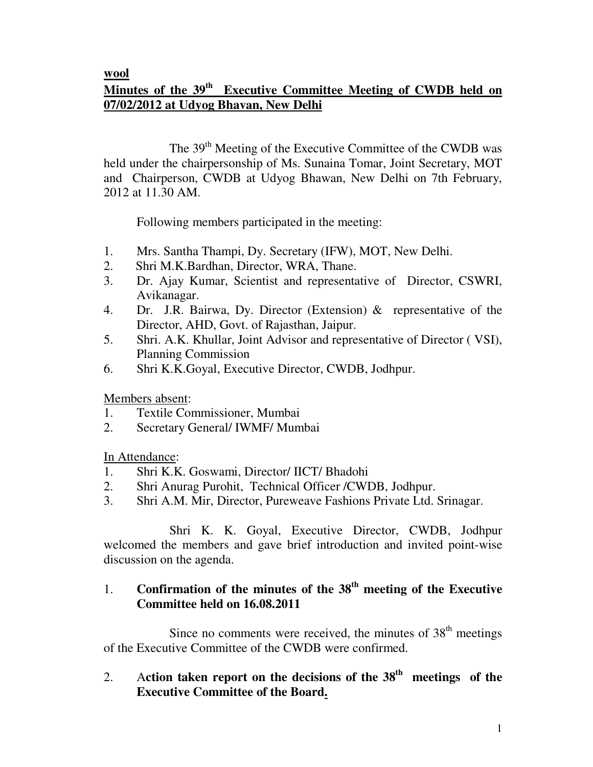#### **wool**

# **Minutes of the 39th Executive Committee Meeting of CWDB held on 07/02/2012 at Udyog Bhavan, New Delhi**

The 39<sup>th</sup> Meeting of the Executive Committee of the CWDB was held under the chairpersonship of Ms. Sunaina Tomar, Joint Secretary, MOT and Chairperson, CWDB at Udyog Bhawan, New Delhi on 7th February, 2012 at 11.30 AM.

Following members participated in the meeting:

- 1. Mrs. Santha Thampi, Dy. Secretary (IFW), MOT, New Delhi.
- 2. Shri M.K.Bardhan, Director, WRA, Thane.
- 3. Dr. Ajay Kumar, Scientist and representative of Director, CSWRI, Avikanagar.
- 4. Dr. J.R. Bairwa, Dy. Director (Extension) & representative of the Director, AHD, Govt. of Rajasthan, Jaipur.
- 5. Shri. A.K. Khullar, Joint Advisor and representative of Director ( VSI), Planning Commission
- 6. Shri K.K.Goyal, Executive Director, CWDB, Jodhpur.

Members absent:

- 1. Textile Commissioner, Mumbai
- 2. Secretary General/ IWMF/ Mumbai

In Attendance:

- 1. Shri K.K. Goswami, Director/ IICT/ Bhadohi<br>2. Shri Anurag Purohit. Technical Officer /CWI
- 2. Shri Anurag Purohit, Technical Officer /CWDB, Jodhpur.
- 3. Shri A.M. Mir, Director, Pureweave Fashions Private Ltd. Srinagar.

 Shri K. K. Goyal, Executive Director, CWDB, Jodhpur welcomed the members and gave brief introduction and invited point-wise discussion on the agenda.

# 1. **Confirmation of the minutes of the 38th meeting of the Executive Committee held on 16.08.2011**

Since no comments were received, the minutes of  $38<sup>th</sup>$  meetings of the Executive Committee of the CWDB were confirmed.

2. A**ction taken report on the decisions of the 38th meetings of the Executive Committee of the Board.**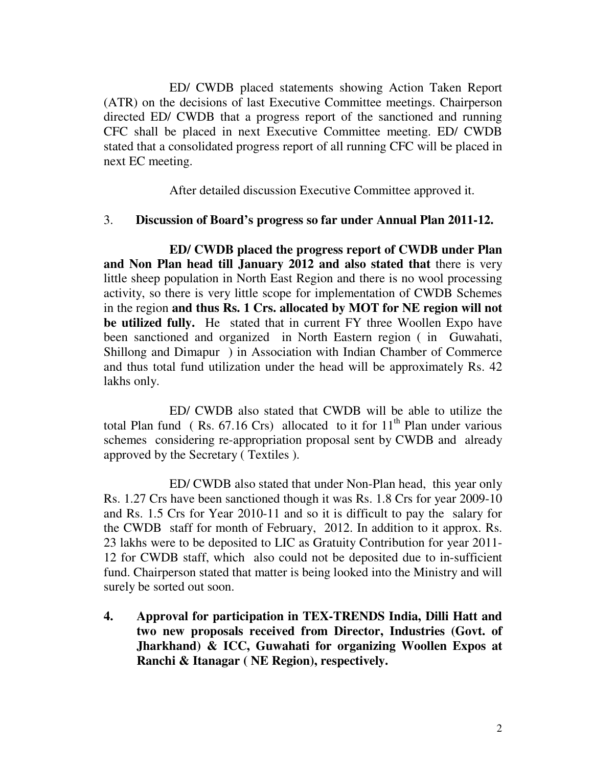ED/ CWDB placed statements showing Action Taken Report (ATR) on the decisions of last Executive Committee meetings. Chairperson directed ED/ CWDB that a progress report of the sanctioned and running CFC shall be placed in next Executive Committee meeting. ED/ CWDB stated that a consolidated progress report of all running CFC will be placed in next EC meeting.

After detailed discussion Executive Committee approved it.

#### 3. **Discussion of Board's progress so far under Annual Plan 2011-12.**

 **ED/ CWDB placed the progress report of CWDB under Plan and Non Plan head till January 2012 and also stated that** there is very little sheep population in North East Region and there is no wool processing activity, so there is very little scope for implementation of CWDB Schemes in the region **and thus Rs. 1 Crs. allocated by MOT for NE region will not be utilized fully.** He stated that in current FY three Woollen Expo have been sanctioned and organized in North Eastern region ( in Guwahati, Shillong and Dimapur ) in Association with Indian Chamber of Commerce and thus total fund utilization under the head will be approximately Rs. 42 lakhs only.

 ED/ CWDB also stated that CWDB will be able to utilize the total Plan fund (Rs.  $67.16$  Crs) allocated to it for  $11<sup>th</sup>$  Plan under various schemes considering re-appropriation proposal sent by CWDB and already approved by the Secretary ( Textiles ).

 ED/ CWDB also stated that under Non-Plan head, this year only Rs. 1.27 Crs have been sanctioned though it was Rs. 1.8 Crs for year 2009-10 and Rs. 1.5 Crs for Year 2010-11 and so it is difficult to pay the salary for the CWDB staff for month of February, 2012. In addition to it approx. Rs. 23 lakhs were to be deposited to LIC as Gratuity Contribution for year 2011- 12 for CWDB staff, which also could not be deposited due to in-sufficient fund. Chairperson stated that matter is being looked into the Ministry and will surely be sorted out soon.

**4. Approval for participation in TEX-TRENDS India, Dilli Hatt and two new proposals received from Director, Industries (Govt. of Jharkhand) & ICC, Guwahati for organizing Woollen Expos at Ranchi & Itanagar ( NE Region), respectively.**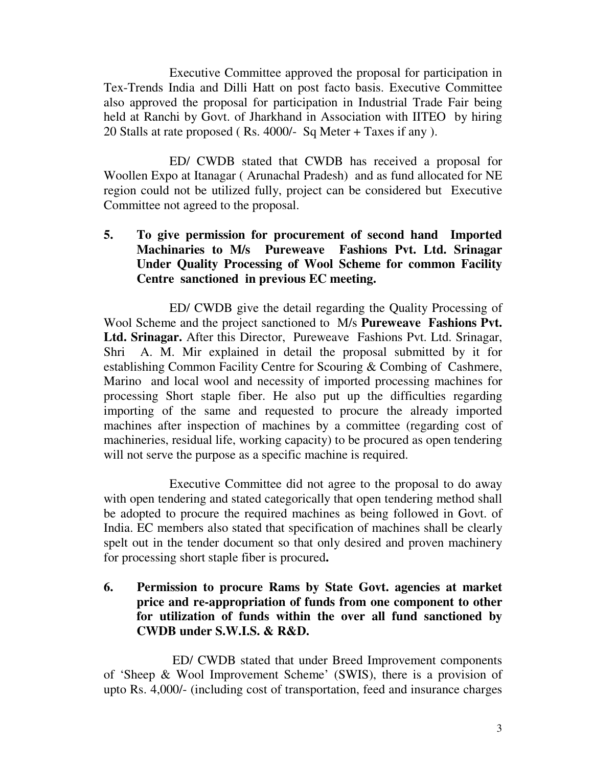Executive Committee approved the proposal for participation in Tex-Trends India and Dilli Hatt on post facto basis. Executive Committee also approved the proposal for participation in Industrial Trade Fair being held at Ranchi by Govt. of Jharkhand in Association with IITEO by hiring 20 Stalls at rate proposed ( Rs. 4000/- Sq Meter + Taxes if any ).

 ED/ CWDB stated that CWDB has received a proposal for Woollen Expo at Itanagar ( Arunachal Pradesh) and as fund allocated for NE region could not be utilized fully, project can be considered but Executive Committee not agreed to the proposal.

**5. To give permission for procurement of second hand Imported Machinaries to M/s Pureweave Fashions Pvt. Ltd. Srinagar Under Quality Processing of Wool Scheme for common Facility Centre sanctioned in previous EC meeting.** 

 ED/ CWDB give the detail regarding the Quality Processing of Wool Scheme and the project sanctioned to M/s **Pureweave Fashions Pvt. Ltd. Srinagar.** After this Director, Pureweave Fashions Pvt. Ltd. Srinagar, Shri A. M. Mir explained in detail the proposal submitted by it for establishing Common Facility Centre for Scouring & Combing of Cashmere, Marino and local wool and necessity of imported processing machines for processing Short staple fiber. He also put up the difficulties regarding importing of the same and requested to procure the already imported machines after inspection of machines by a committee (regarding cost of machineries, residual life, working capacity) to be procured as open tendering will not serve the purpose as a specific machine is required.

 Executive Committee did not agree to the proposal to do away with open tendering and stated categorically that open tendering method shall be adopted to procure the required machines as being followed in Govt. of India. EC members also stated that specification of machines shall be clearly spelt out in the tender document so that only desired and proven machinery for processing short staple fiber is procured**.** 

**6. Permission to procure Rams by State Govt. agencies at market price and re-appropriation of funds from one component to other for utilization of funds within the over all fund sanctioned by CWDB under S.W.I.S. & R&D.** 

 ED/ CWDB stated that under Breed Improvement components of 'Sheep & Wool Improvement Scheme' (SWIS), there is a provision of upto Rs. 4,000/- (including cost of transportation, feed and insurance charges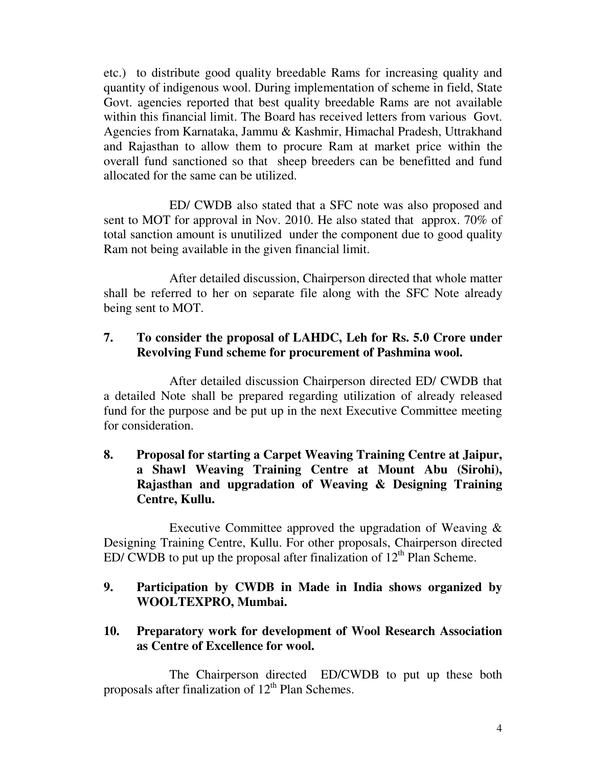etc.) to distribute good quality breedable Rams for increasing quality and quantity of indigenous wool. During implementation of scheme in field, State Govt. agencies reported that best quality breedable Rams are not available within this financial limit. The Board has received letters from various Govt. Agencies from Karnataka, Jammu & Kashmir, Himachal Pradesh, Uttrakhand and Rajasthan to allow them to procure Ram at market price within the overall fund sanctioned so that sheep breeders can be benefitted and fund allocated for the same can be utilized.

 ED/ CWDB also stated that a SFC note was also proposed and sent to MOT for approval in Nov. 2010. He also stated that approx. 70% of total sanction amount is unutilized under the component due to good quality Ram not being available in the given financial limit.

 After detailed discussion, Chairperson directed that whole matter shall be referred to her on separate file along with the SFC Note already being sent to MOT.

#### **7. To consider the proposal of LAHDC, Leh for Rs. 5.0 Crore under Revolving Fund scheme for procurement of Pashmina wool.**

 After detailed discussion Chairperson directed ED/ CWDB that a detailed Note shall be prepared regarding utilization of already released fund for the purpose and be put up in the next Executive Committee meeting for consideration.

# **8. Proposal for starting a Carpet Weaving Training Centre at Jaipur, a Shawl Weaving Training Centre at Mount Abu (Sirohi), Rajasthan and upgradation of Weaving & Designing Training Centre, Kullu.**

 Executive Committee approved the upgradation of Weaving & Designing Training Centre, Kullu. For other proposals, Chairperson directed ED/ CWDB to put up the proposal after finalization of  $12<sup>th</sup>$  Plan Scheme.

### **9. Participation by CWDB in Made in India shows organized by WOOLTEXPRO, Mumbai.**

### **10. Preparatory work for development of Wool Research Association as Centre of Excellence for wool.**

 The Chairperson directed ED/CWDB to put up these both proposals after finalization of  $12<sup>th</sup>$  Plan Schemes.